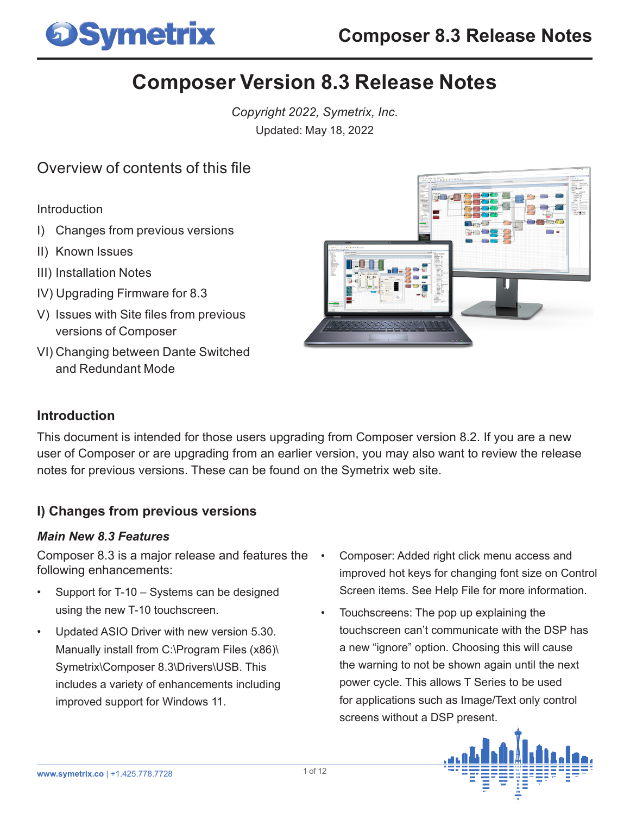

# **Composer Version 8.3 Release Notes**

*Copyright 2022, Symetrix, Inc.* Updated: May 18, 2022

## Overview of contents of this file

Introduction

- I) Changes from previous versions
- II) Known Issues
- III) Installation Notes
- IV) Upgrading Firmware for 8.3
- V) Issues with Site files from previous versions of Composer
- VI) Changing between Dante Switched and Redundant Mode



### **Introduction**

This document is intended for those users upgrading from Composer version 8.2. If you are a new user of Composer or are upgrading from an earlier version, you may also want to review the release notes for previous versions. These can be found on the Symetrix web site.

## **I) Changes from previous versions**

#### *Main New 8.3 Features*

Composer 8.3 is a major release and features the following enhancements:

- Support for T-10 Systems can be designed using the new T-10 touchscreen.
- Updated ASIO Driver with new version 5.30. Manually install from C:\Program Files (x86)\ Symetrix\Composer 8.3\Drivers\USB. This includes a variety of enhancements including improved support for Windows 11.
- Composer: Added right click menu access and improved hot keys for changing font size on Control Screen items. See Help File for more information.
- Touchscreens: The pop up explaining the touchscreen can't communicate with the DSP has a new "ignore" option. Choosing this will cause the warning to not be shown again until the next power cycle. This allows T Series to be used for applications such as Image/Text only control screens without a DSP present.

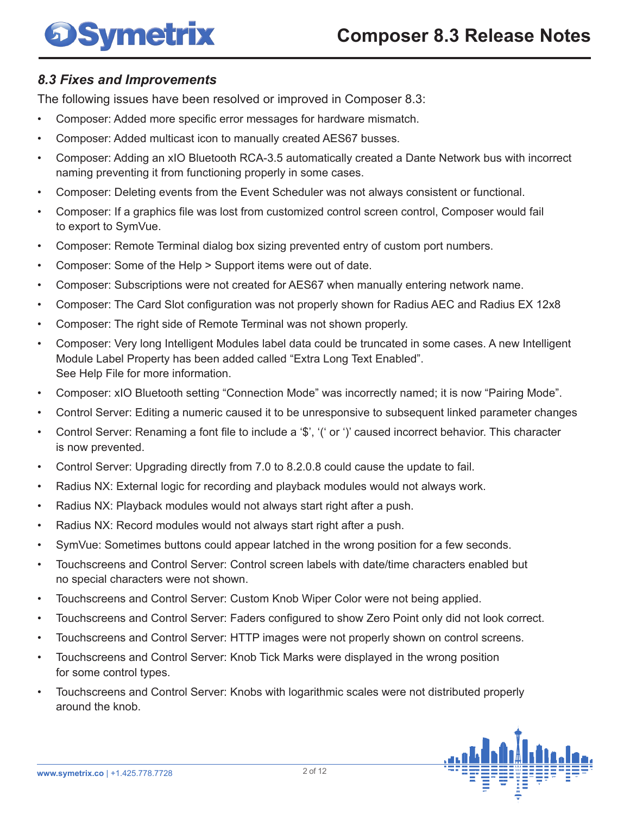# **Symetrix**

## *8.3 Fixes and Improvements*

The following issues have been resolved or improved in Composer 8.3:

- Composer: Added more specific error messages for hardware mismatch.
- Composer: Added multicast icon to manually created AES67 busses.
- Composer: Adding an xIO Bluetooth RCA-3.5 automatically created a Dante Network bus with incorrect naming preventing it from functioning properly in some cases.
- Composer: Deleting events from the Event Scheduler was not always consistent or functional.
- Composer: If a graphics file was lost from customized control screen control, Composer would fail to export to SymVue.
- Composer: Remote Terminal dialog box sizing prevented entry of custom port numbers.
- Composer: Some of the Help > Support items were out of date.
- Composer: Subscriptions were not created for AES67 when manually entering network name.
- Composer: The Card Slot configuration was not properly shown for Radius AEC and Radius EX 12x8
- Composer: The right side of Remote Terminal was not shown properly.
- Composer: Very long Intelligent Modules label data could be truncated in some cases. A new Intelligent Module Label Property has been added called "Extra Long Text Enabled". See Help File for more information.
- Composer: xIO Bluetooth setting "Connection Mode" was incorrectly named; it is now "Pairing Mode".
- Control Server: Editing a numeric caused it to be unresponsive to subsequent linked parameter changes
- Control Server: Renaming a font file to include a '\$', '(' or ')' caused incorrect behavior. This character is now prevented.
- Control Server: Upgrading directly from 7.0 to 8.2.0.8 could cause the update to fail.
- Radius NX: External logic for recording and playback modules would not always work.
- Radius NX: Playback modules would not always start right after a push.
- Radius NX: Record modules would not always start right after a push.
- SymVue: Sometimes buttons could appear latched in the wrong position for a few seconds.
- Touchscreens and Control Server: Control screen labels with date/time characters enabled but no special characters were not shown.
- Touchscreens and Control Server: Custom Knob Wiper Color were not being applied.
- Touchscreens and Control Server: Faders configured to show Zero Point only did not look correct.
- Touchscreens and Control Server: HTTP images were not properly shown on control screens.
- Touchscreens and Control Server: Knob Tick Marks were displayed in the wrong position for some control types.
- Touchscreens and Control Server: Knobs with logarithmic scales were not distributed properly around the knob.

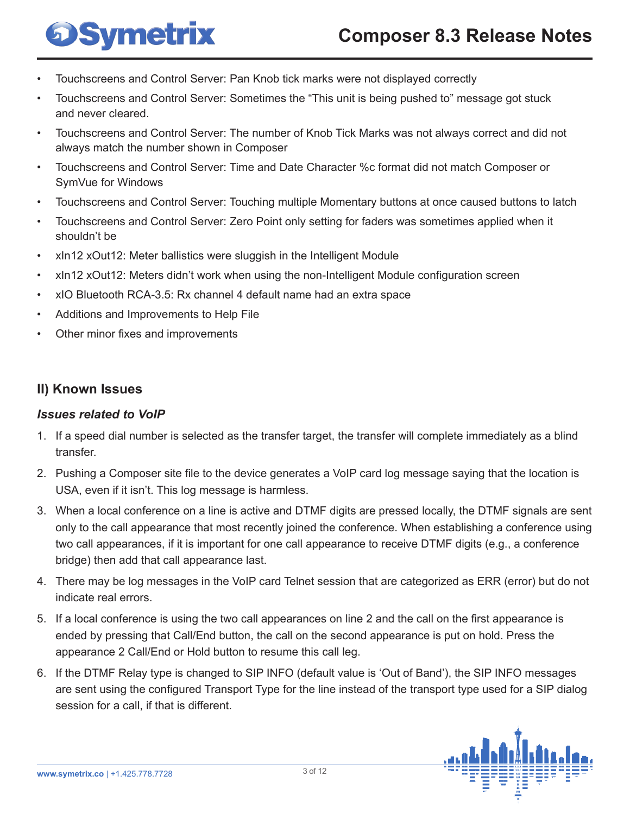- Touchscreens and Control Server: Pan Knob tick marks were not displayed correctly
- Touchscreens and Control Server: Sometimes the "This unit is being pushed to" message got stuck and never cleared.
- Touchscreens and Control Server: The number of Knob Tick Marks was not always correct and did not always match the number shown in Composer
- Touchscreens and Control Server: Time and Date Character %c format did not match Composer or SymVue for Windows
- Touchscreens and Control Server: Touching multiple Momentary buttons at once caused buttons to latch
- Touchscreens and Control Server: Zero Point only setting for faders was sometimes applied when it shouldn't be
- xIn12 xOut12: Meter ballistics were sluggish in the Intelligent Module
- xIn12 xOut12: Meters didn't work when using the non-Intelligent Module configuration screen
- xIO Bluetooth RCA-3.5: Rx channel 4 default name had an extra space
- Additions and Improvements to Help File

**Symetrix** 

Other minor fixes and improvements

#### **II) Known Issues**

#### *Issues related to VoIP*

- 1. If a speed dial number is selected as the transfer target, the transfer will complete immediately as a blind transfer.
- 2. Pushing a Composer site file to the device generates a VoIP card log message saying that the location is USA, even if it isn't. This log message is harmless.
- 3. When a local conference on a line is active and DTMF digits are pressed locally, the DTMF signals are sent only to the call appearance that most recently joined the conference. When establishing a conference using two call appearances, if it is important for one call appearance to receive DTMF digits (e.g., a conference bridge) then add that call appearance last.
- 4. There may be log messages in the VoIP card Telnet session that are categorized as ERR (error) but do not indicate real errors.
- 5. If a local conference is using the two call appearances on line 2 and the call on the first appearance is ended by pressing that Call/End button, the call on the second appearance is put on hold. Press the appearance 2 Call/End or Hold button to resume this call leg.
- 6. If the DTMF Relay type is changed to SIP INFO (default value is 'Out of Band'), the SIP INFO messages are sent using the configured Transport Type for the line instead of the transport type used for a SIP dialog session for a call, if that is different.

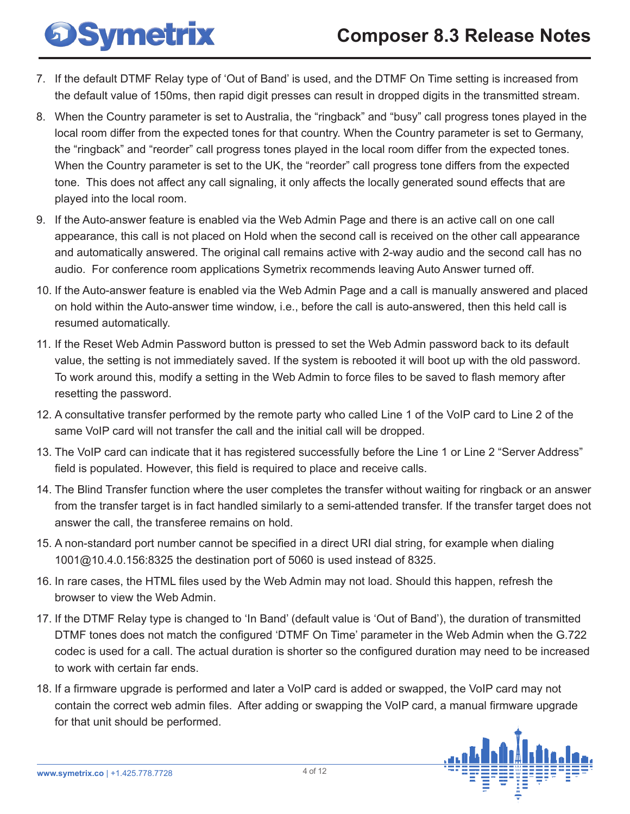# **DSymetrix**

- 7. If the default DTMF Relay type of 'Out of Band' is used, and the DTMF On Time setting is increased from the default value of 150ms, then rapid digit presses can result in dropped digits in the transmitted stream.
- 8. When the Country parameter is set to Australia, the "ringback" and "busy" call progress tones played in the local room differ from the expected tones for that country. When the Country parameter is set to Germany, the "ringback" and "reorder" call progress tones played in the local room differ from the expected tones. When the Country parameter is set to the UK, the "reorder" call progress tone differs from the expected tone. This does not affect any call signaling, it only affects the locally generated sound effects that are played into the local room.
- 9. If the Auto-answer feature is enabled via the Web Admin Page and there is an active call on one call appearance, this call is not placed on Hold when the second call is received on the other call appearance and automatically answered. The original call remains active with 2-way audio and the second call has no audio. For conference room applications Symetrix recommends leaving Auto Answer turned off.
- 10. If the Auto-answer feature is enabled via the Web Admin Page and a call is manually answered and placed on hold within the Auto-answer time window, i.e., before the call is auto-answered, then this held call is resumed automatically.
- 11. If the Reset Web Admin Password button is pressed to set the Web Admin password back to its default value, the setting is not immediately saved. If the system is rebooted it will boot up with the old password. To work around this, modify a setting in the Web Admin to force files to be saved to flash memory after resetting the password.
- 12. A consultative transfer performed by the remote party who called Line 1 of the VoIP card to Line 2 of the same VoIP card will not transfer the call and the initial call will be dropped.
- 13. The VoIP card can indicate that it has registered successfully before the Line 1 or Line 2 "Server Address" field is populated. However, this field is required to place and receive calls.
- 14. The Blind Transfer function where the user completes the transfer without waiting for ringback or an answer from the transfer target is in fact handled similarly to a semi-attended transfer. If the transfer target does not answer the call, the transferee remains on hold.
- 15. A non-standard port number cannot be specified in a direct URI dial string, for example when dialing 1001@10.4.0.156:8325 the destination port of 5060 is used instead of 8325.
- 16. In rare cases, the HTML files used by the Web Admin may not load. Should this happen, refresh the browser to view the Web Admin.
- 17. If the DTMF Relay type is changed to 'In Band' (default value is 'Out of Band'), the duration of transmitted DTMF tones does not match the configured 'DTMF On Time' parameter in the Web Admin when the G.722 codec is used for a call. The actual duration is shorter so the configured duration may need to be increased to work with certain far ends.
- 18. If a firmware upgrade is performed and later a VoIP card is added or swapped, the VoIP card may not contain the correct web admin files. After adding or swapping the VoIP card, a manual firmware upgrade for that unit should be performed.

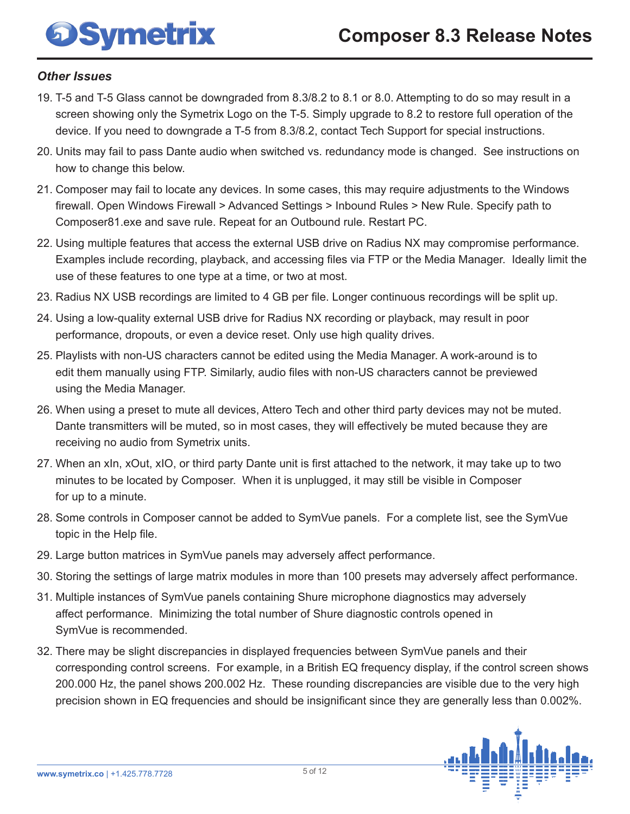# **Symetrix**

## *Other Issues*

- 19. T-5 and T-5 Glass cannot be downgraded from 8.3/8.2 to 8.1 or 8.0. Attempting to do so may result in a screen showing only the Symetrix Logo on the T-5. Simply upgrade to 8.2 to restore full operation of the device. If you need to downgrade a T-5 from 8.3/8.2, contact Tech Support for special instructions.
- 20. Units may fail to pass Dante audio when switched vs. redundancy mode is changed. See instructions on how to change this below.
- 21. Composer may fail to locate any devices. In some cases, this may require adjustments to the Windows firewall. Open Windows Firewall > Advanced Settings > Inbound Rules > New Rule. Specify path to Composer81.exe and save rule. Repeat for an Outbound rule. Restart PC.
- 22. Using multiple features that access the external USB drive on Radius NX may compromise performance. Examples include recording, playback, and accessing files via FTP or the Media Manager. Ideally limit the use of these features to one type at a time, or two at most.
- 23. Radius NX USB recordings are limited to 4 GB per file. Longer continuous recordings will be split up.
- 24. Using a low-quality external USB drive for Radius NX recording or playback, may result in poor performance, dropouts, or even a device reset. Only use high quality drives.
- 25. Playlists with non-US characters cannot be edited using the Media Manager. A work-around is to edit them manually using FTP. Similarly, audio files with non-US characters cannot be previewed using the Media Manager.
- 26. When using a preset to mute all devices, Attero Tech and other third party devices may not be muted. Dante transmitters will be muted, so in most cases, they will effectively be muted because they are receiving no audio from Symetrix units.
- 27. When an xIn, xOut, xIO, or third party Dante unit is first attached to the network, it may take up to two minutes to be located by Composer. When it is unplugged, it may still be visible in Composer for up to a minute.
- 28. Some controls in Composer cannot be added to SymVue panels. For a complete list, see the SymVue topic in the Help file.
- 29. Large button matrices in SymVue panels may adversely affect performance.
- 30. Storing the settings of large matrix modules in more than 100 presets may adversely affect performance.
- 31. Multiple instances of SymVue panels containing Shure microphone diagnostics may adversely affect performance. Minimizing the total number of Shure diagnostic controls opened in SymVue is recommended.
- 32. There may be slight discrepancies in displayed frequencies between SymVue panels and their corresponding control screens. For example, in a British EQ frequency display, if the control screen shows 200.000 Hz, the panel shows 200.002 Hz. These rounding discrepancies are visible due to the very high precision shown in EQ frequencies and should be insignificant since they are generally less than 0.002%.

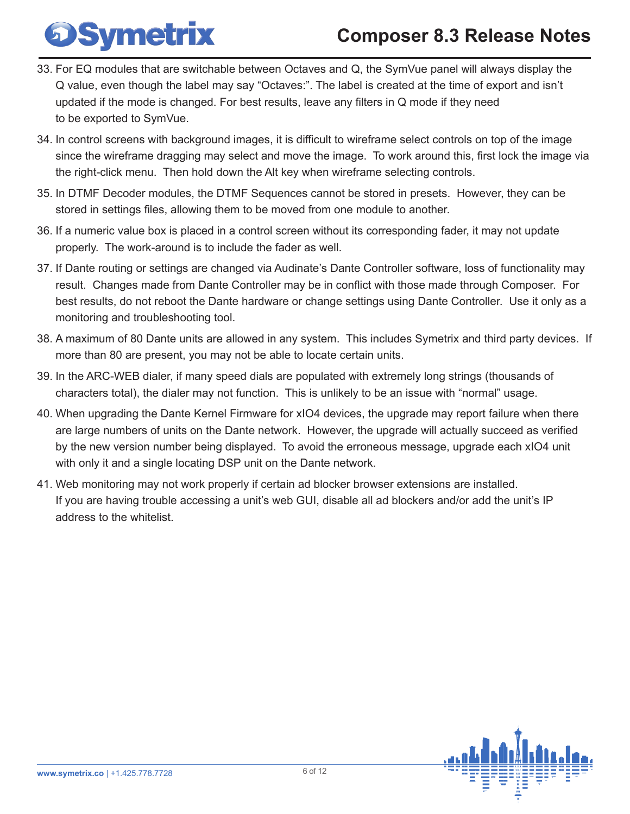- 33. For EQ modules that are switchable between Octaves and Q, the SymVue panel will always display the Q value, even though the label may say "Octaves:". The label is created at the time of export and isn't updated if the mode is changed. For best results, leave any filters in Q mode if they need to be exported to SymVue.
- 34. In control screens with background images, it is difficult to wireframe select controls on top of the image since the wireframe dragging may select and move the image. To work around this, first lock the image via the right-click menu. Then hold down the Alt key when wireframe selecting controls.
- 35. In DTMF Decoder modules, the DTMF Sequences cannot be stored in presets. However, they can be stored in settings files, allowing them to be moved from one module to another.
- 36. If a numeric value box is placed in a control screen without its corresponding fader, it may not update properly. The work-around is to include the fader as well.
- 37. If Dante routing or settings are changed via Audinate's Dante Controller software, loss of functionality may result. Changes made from Dante Controller may be in conflict with those made through Composer. For best results, do not reboot the Dante hardware or change settings using Dante Controller. Use it only as a monitoring and troubleshooting tool.
- 38. A maximum of 80 Dante units are allowed in any system. This includes Symetrix and third party devices. If more than 80 are present, you may not be able to locate certain units.
- 39. In the ARC-WEB dialer, if many speed dials are populated with extremely long strings (thousands of characters total), the dialer may not function. This is unlikely to be an issue with "normal" usage.
- 40. When upgrading the Dante Kernel Firmware for xIO4 devices, the upgrade may report failure when there are large numbers of units on the Dante network. However, the upgrade will actually succeed as verified by the new version number being displayed. To avoid the erroneous message, upgrade each xIO4 unit with only it and a single locating DSP unit on the Dante network.
- 41. Web monitoring may not work properly if certain ad blocker browser extensions are installed. If you are having trouble accessing a unit's web GUI, disable all ad blockers and/or add the unit's IP address to the whitelist.



**DSymetrix**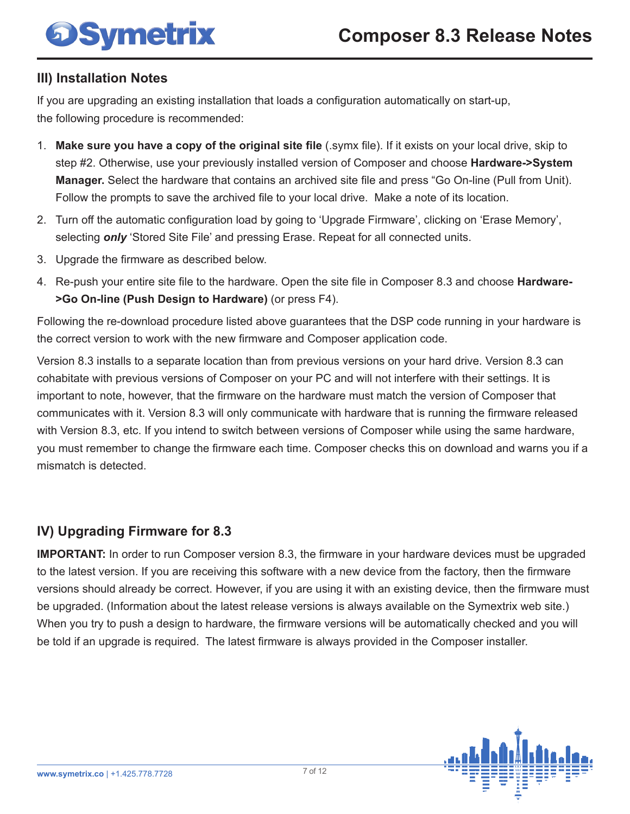# **OSymetrix**

### **III) Installation Notes**

If you are upgrading an existing installation that loads a configuration automatically on start-up, the following procedure is recommended:

- 1. **Make sure you have a copy of the original site file** (.symx file). If it exists on your local drive, skip to step #2. Otherwise, use your previously installed version of Composer and choose **Hardware->System Manager.** Select the hardware that contains an archived site file and press "Go On-line (Pull from Unit). Follow the prompts to save the archived file to your local drive. Make a note of its location.
- 2. Turn off the automatic configuration load by going to 'Upgrade Firmware', clicking on 'Erase Memory', selecting *only* 'Stored Site File' and pressing Erase. Repeat for all connected units.
- 3. Upgrade the firmware as described below.
- 4. Re-push your entire site file to the hardware. Open the site file in Composer 8.3 and choose **Hardware- >Go On-line (Push Design to Hardware)** (or press F4).

Following the re-download procedure listed above guarantees that the DSP code running in your hardware is the correct version to work with the new firmware and Composer application code.

Version 8.3 installs to a separate location than from previous versions on your hard drive. Version 8.3 can cohabitate with previous versions of Composer on your PC and will not interfere with their settings. It is important to note, however, that the firmware on the hardware must match the version of Composer that communicates with it. Version 8.3 will only communicate with hardware that is running the firmware released with Version 8.3, etc. If you intend to switch between versions of Composer while using the same hardware, you must remember to change the firmware each time. Composer checks this on download and warns you if a mismatch is detected.

## **IV) Upgrading Firmware for 8.3**

**IMPORTANT:** In order to run Composer version 8.3, the firmware in your hardware devices must be upgraded to the latest version. If you are receiving this software with a new device from the factory, then the firmware versions should already be correct. However, if you are using it with an existing device, then the firmware must be upgraded. (Information about the latest release versions is always available on the Symextrix web site.) When you try to push a design to hardware, the firmware versions will be automatically checked and you will be told if an upgrade is required. The latest firmware is always provided in the Composer installer.

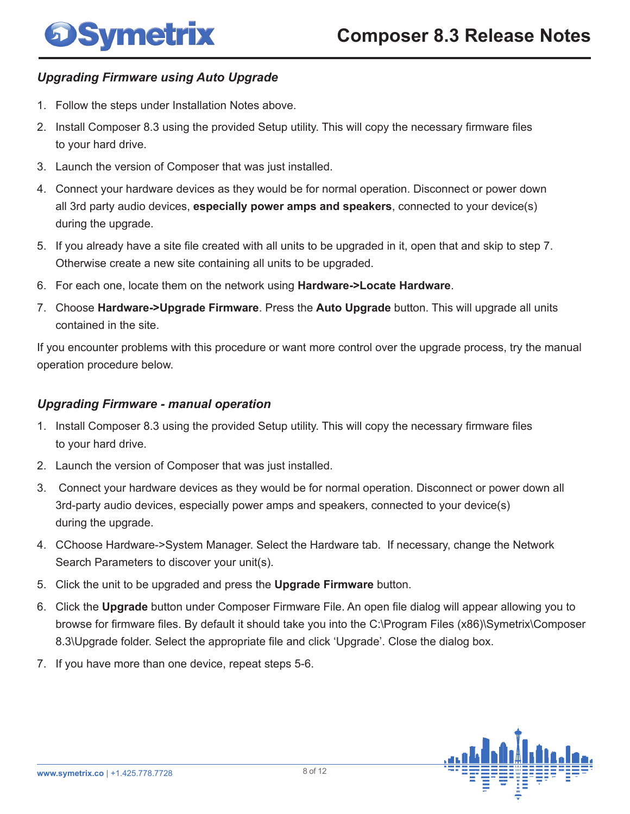#### *Upgrading Firmware using Auto Upgrade*

- 1. Follow the steps under Installation Notes above.
- 2. Install Composer 8.3 using the provided Setup utility. This will copy the necessary firmware files to your hard drive.
- 3. Launch the version of Composer that was just installed.
- 4. Connect your hardware devices as they would be for normal operation. Disconnect or power down all 3rd party audio devices, **especially power amps and speakers**, connected to your device(s) during the upgrade.
- 5. If you already have a site file created with all units to be upgraded in it, open that and skip to step 7. Otherwise create a new site containing all units to be upgraded.
- 6. For each one, locate them on the network using **Hardware->Locate Hardware**.
- 7. Choose **Hardware->Upgrade Firmware**. Press the **Auto Upgrade** button. This will upgrade all units contained in the site.

If you encounter problems with this procedure or want more control over the upgrade process, try the manual operation procedure below.

#### *Upgrading Firmware - manual operation*

- 1. Install Composer 8.3 using the provided Setup utility. This will copy the necessary firmware files to your hard drive.
- 2. Launch the version of Composer that was just installed.
- 3. Connect your hardware devices as they would be for normal operation. Disconnect or power down all 3rd-party audio devices, especially power amps and speakers, connected to your device(s) during the upgrade.
- 4. CChoose Hardware->System Manager. Select the Hardware tab. If necessary, change the Network Search Parameters to discover your unit(s).
- 5. Click the unit to be upgraded and press the **Upgrade Firmware** button.
- 6. Click the **Upgrade** button under Composer Firmware File. An open file dialog will appear allowing you to browse for firmware files. By default it should take you into the C:\Program Files (x86)\Symetrix\Composer 8.3\Upgrade folder. Select the appropriate file and click 'Upgrade'. Close the dialog box.
- 7. If you have more than one device, repeat steps 5-6.

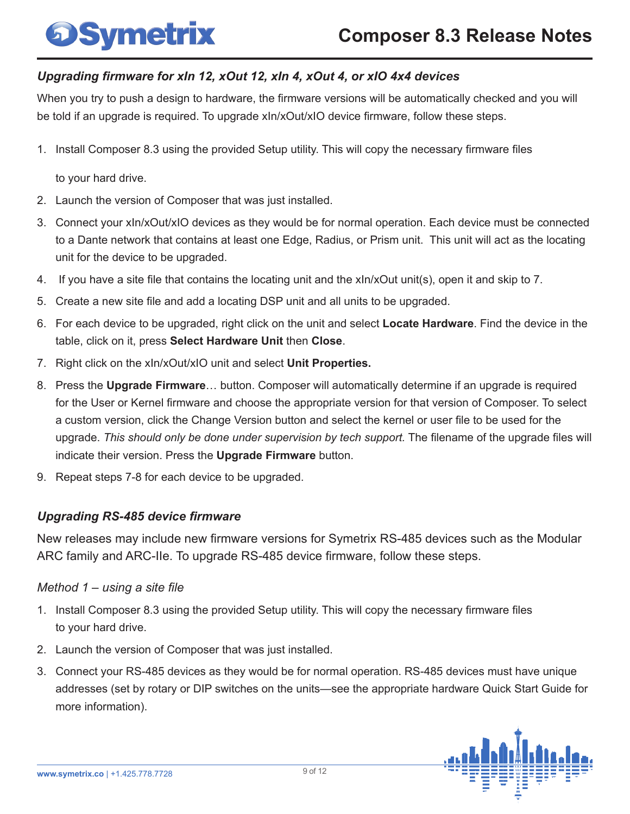# **DSymetrix**

### *Upgrading firmware for xIn 12, xOut 12, xIn 4, xOut 4, or xIO 4x4 devices*

When you try to push a design to hardware, the firmware versions will be automatically checked and you will be told if an upgrade is required. To upgrade xIn/xOut/xIO device firmware, follow these steps.

1. Install Composer 8.3 using the provided Setup utility. This will copy the necessary firmware files

to your hard drive.

- 2. Launch the version of Composer that was just installed.
- 3. Connect your xIn/xOut/xIO devices as they would be for normal operation. Each device must be connected to a Dante network that contains at least one Edge, Radius, or Prism unit. This unit will act as the locating unit for the device to be upgraded.
- 4. If you have a site file that contains the locating unit and the xIn/xOut unit(s), open it and skip to 7.
- 5. Create a new site file and add a locating DSP unit and all units to be upgraded.
- 6. For each device to be upgraded, right click on the unit and select **Locate Hardware**. Find the device in the table, click on it, press **Select Hardware Unit** then **Close**.
- 7. Right click on the xIn/xOut/xIO unit and select **Unit Properties.**
- 8. Press the **Upgrade Firmware**… button. Composer will automatically determine if an upgrade is required for the User or Kernel firmware and choose the appropriate version for that version of Composer. To select a custom version, click the Change Version button and select the kernel or user file to be used for the upgrade. *This should only be done under supervision by tech support.* The filename of the upgrade files will indicate their version. Press the **Upgrade Firmware** button.
- 9. Repeat steps 7-8 for each device to be upgraded.

## *Upgrading RS-485 device firmware*

New releases may include new firmware versions for Symetrix RS-485 devices such as the Modular ARC family and ARC-IIe. To upgrade RS-485 device firmware, follow these steps.

### *Method 1 – using a site file*

- 1. Install Composer 8.3 using the provided Setup utility. This will copy the necessary firmware files to your hard drive.
- 2. Launch the version of Composer that was just installed.
- 3. Connect your RS-485 devices as they would be for normal operation. RS-485 devices must have unique addresses (set by rotary or DIP switches on the units—see the appropriate hardware Quick Start Guide for more information).

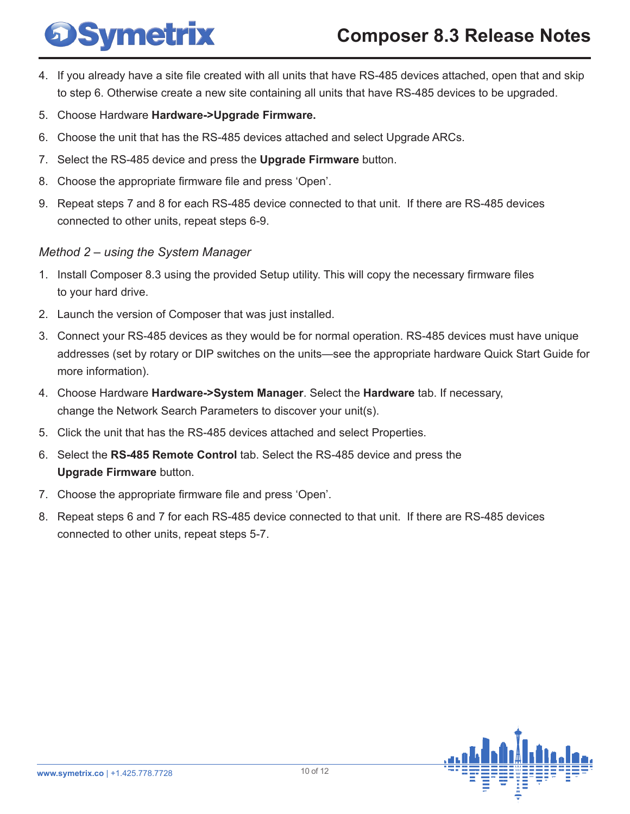# **Symetrix**

# **Composer 8.3 Release Notes**

- 4. If you already have a site file created with all units that have RS-485 devices attached, open that and skip to step 6. Otherwise create a new site containing all units that have RS-485 devices to be upgraded.
- 5. Choose Hardware **Hardware->Upgrade Firmware.**
- 6. Choose the unit that has the RS-485 devices attached and select Upgrade ARCs.
- 7. Select the RS-485 device and press the **Upgrade Firmware** button.
- 8. Choose the appropriate firmware file and press 'Open'.
- 9. Repeat steps 7 and 8 for each RS-485 device connected to that unit. If there are RS-485 devices connected to other units, repeat steps 6-9.

#### *Method 2 – using the System Manager*

- 1. Install Composer 8.3 using the provided Setup utility. This will copy the necessary firmware files to your hard drive.
- 2. Launch the version of Composer that was just installed.
- 3. Connect your RS-485 devices as they would be for normal operation. RS-485 devices must have unique addresses (set by rotary or DIP switches on the units—see the appropriate hardware Quick Start Guide for more information).
- 4. Choose Hardware **Hardware->System Manager**. Select the **Hardware** tab. If necessary, change the Network Search Parameters to discover your unit(s).
- 5. Click the unit that has the RS-485 devices attached and select Properties.
- 6. Select the **RS-485 Remote Control** tab. Select the RS-485 device and press the **Upgrade Firmware** button.
- 7. Choose the appropriate firmware file and press 'Open'.
- 8. Repeat steps 6 and 7 for each RS-485 device connected to that unit. If there are RS-485 devices connected to other units, repeat steps 5-7.

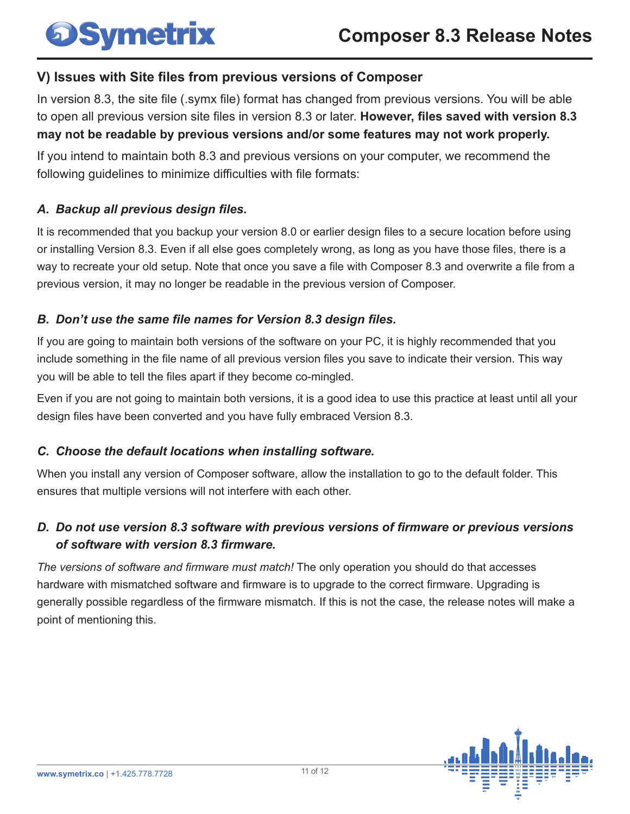# **OSymetrix**

## **V) Issues with Site files from previous versions of Composer**

In version 8.3, the site file (.symx file) format has changed from previous versions. You will be able to open all previous version site files in version 8.3 or later. **However, files saved with version 8.3 may not be readable by previous versions and/or some features may not work properly.**

If you intend to maintain both 8.3 and previous versions on your computer, we recommend the following guidelines to minimize difficulties with file formats:

#### *A. Backup all previous design files.*

It is recommended that you backup your version 8.0 or earlier design files to a secure location before using or installing Version 8.3. Even if all else goes completely wrong, as long as you have those files, there is a way to recreate your old setup. Note that once you save a file with Composer 8.3 and overwrite a file from a previous version, it may no longer be readable in the previous version of Composer.

#### *B. Don't use the same file names for Version 8.3 design files.*

If you are going to maintain both versions of the software on your PC, it is highly recommended that you include something in the file name of all previous version files you save to indicate their version. This way you will be able to tell the files apart if they become co-mingled.

Even if you are not going to maintain both versions, it is a good idea to use this practice at least until all your design files have been converted and you have fully embraced Version 8.3.

#### *C. Choose the default locations when installing software.*

When you install any version of Composer software, allow the installation to go to the default folder. This ensures that multiple versions will not interfere with each other.

### *D. Do not use version 8.3 software with previous versions of firmware or previous versions of software with version 8.3 firmware.*

*The versions of software and firmware must match!* The only operation you should do that accesses hardware with mismatched software and firmware is to upgrade to the correct firmware. Upgrading is generally possible regardless of the firmware mismatch. If this is not the case, the release notes will make a point of mentioning this.